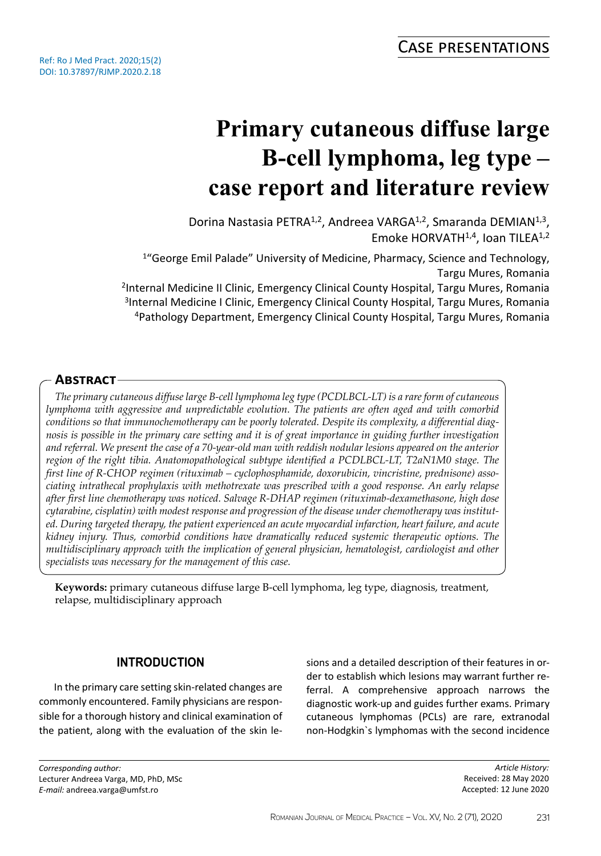# **Primary cutaneous diffuse large B-cell lymphoma, leg type – case report and literature review**

Dorina Nastasia PETRA<sup>1,2</sup>, Andreea VARGA<sup>1,2</sup>, Smaranda DEMIAN<sup>1,3</sup>, Emoke HORVATH<sup>1,4</sup>, Ioan TILEA<sup>1,2</sup>

<sup>1</sup>"George Emil Palade" University of Medicine, Pharmacy, Science and Technology, Targu Mures, Romania <sup>2</sup>Internal Medicine II Clinic, Emergency Clinical County Hospital, Targu Mures, Romania <sup>3</sup>Internal Medicine I Clinic, Emergency Clinical County Hospital, Targu Mures, Romania <sup>4</sup>Pathology Department, Emergency Clinical County Hospital, Targu Mures, Romania

## **Abstract**

*The primary cutaneous diffuse large B-cell lymphoma leg type (PCDLBCL-LT) is a rare form of cutaneous lymphoma with aggressive and unpredictable evolution. The patients are often aged and with comorbid conditions so that immunochemotherapy can be poorly tolerated. Despite its complexity, a differential diagnosis is possible in the primary care setting and it is of great importance in guiding further investigation and referral. We present the case of a 70-year-old man with reddish nodular lesions appeared on the anterior region of the right tibia. Anatomopathological subtype identified a PCDLBCL-LT, T2aN1M0 stage. The first line of R-CHOP regimen (rituximab – cyclophosphamide, doxorubicin, vincristine, prednisone) associating intrathecal prophylaxis with methotrexate was prescribed with a good response. An early relapse after first line chemotherapy was noticed. Salvage R-DHAP regimen (rituximab-dexamethasone, high dose cytarabine, cisplatin) with modest response and progression of the disease under chemotherapy was instituted. During targeted therapy, the patient experienced an acute myocardial infarction, heart failure, and acute kidney injury. Thus, comorbid conditions have dramatically reduced systemic therapeutic options. The multidisciplinary approach with the implication of general physician, hematologist, cardiologist and other specialists was necessary for the management of this case.*

**Keywords:** primary cutaneous diffuse large B-cell lymphoma, leg type, diagnosis, treatment, relapse, multidisciplinary approach

## **INTRODUCTION**

In the primary care setting skin-related changes are commonly encountered. Family physicians are responsible for a thorough history and clinical examination of the patient, along with the evaluation of the skin lesions and a detailed description of their features in order to establish which lesions may warrant further referral. A comprehensive approach narrows the diagnostic work-up and guides further exams. Primary cutaneous lymphomas (PCLs) are rare, extranodal non-Hodgkin`s lymphomas with the second incidence

*Article History:* Received: 28 May 2020 Accepted: 12 June 2020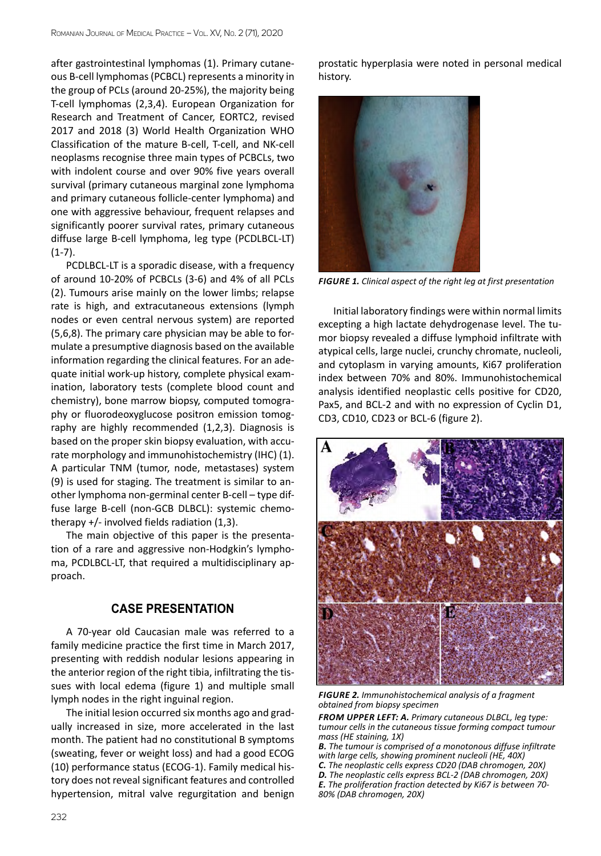after gastrointestinal lymphomas (1). Primary cutaneous B-cell lymphomas (PCBCL) represents a minority in the group of PCLs (around 20-25%), the majority being T-cell lymphomas (2,3,4). European Organization for Research and Treatment of Cancer, EORTC2, revised 2017 and 2018 (3) World Health Organization WHO Classification of the mature B-cell, T-cell, and NK-cell neoplasms recognise three main types of PCBCLs, two with indolent course and over 90% five years overall survival (primary cutaneous marginal zone lymphoma and primary cutaneous follicle-center lymphoma) and one with aggressive behaviour, frequent relapses and significantly poorer survival rates, primary cutaneous diffuse large B-cell lymphoma, leg type (PCDLBCL-LT)  $(1-7)$ .

PCDLBCL-LT is a sporadic disease, with a frequency of around 10-20% of PCBCLs (3-6) and 4% of all PCLs (2). Tumours arise mainly on the lower limbs; relapse rate is high, and extracutaneous extensions (lymph nodes or even central nervous system) are reported (5,6,8). The primary care physician may be able to formulate a presumptive diagnosis based on the available information regarding the clinical features. For an adequate initial work-up history, complete physical examination, laboratory tests (complete blood count and chemistry), bone marrow biopsy, computed tomography or fluorodeoxyglucose positron emission tomography are highly recommended (1,2,3). Diagnosis is based on the proper skin biopsy evaluation, with accurate morphology and immunohistochemistry (IHC) (1). A particular TNM (tumor, node, metastases) system (9) is used for staging. The treatment is similar to another lymphoma non-germinal center B-cell – type diffuse large B-cell (non-GCB DLBCL): systemic chemotherapy  $+/-$  involved fields radiation (1,3).

The main objective of this paper is the presentation of a rare and aggressive non-Hodgkin's lymphoma, PCDLBCL-LT, that required a multidisciplinary approach.

#### **CASE PRESENTATION**

A 70-year old Caucasian male was referred to a family medicine practice the first time in March 2017, presenting with reddish nodular lesions appearing in the anterior region of the right tibia, infiltrating the tissues with local edema (figure 1) and multiple small lymph nodes in the right inguinal region.

The initial lesion occurred six months ago and gradually increased in size, more accelerated in the last month. The patient had no constitutional B symptoms (sweating, fever or weight loss) and had a good ECOG (10) performance status (ECOG-1). Family medical history does not reveal significant features and controlled hypertension, mitral valve regurgitation and benign prostatic hyperplasia were noted in personal medical history.



*Figure 1. Clinical aspect of the right leg at first presentation*

Initial laboratory findings were within normal limits excepting a high lactate dehydrogenase level. The tumor biopsy revealed a diffuse lymphoid infiltrate with atypical cells, large nuclei, crunchy chromate, nucleoli, and cytoplasm in varying amounts, Ki67 proliferation index between 70% and 80%. Immunohistochemical analysis identified neoplastic cells positive for CD20, Pax5, and BCL-2 and with no expression of Cyclin D1, CD3, CD10, CD23 or BCL-6 (figure 2).



*Figure 2. Immunohistochemical analysis of a fragment obtained from biopsy specimen*

*From upper left: A. Primary cutaneous DLBCL, leg type: tumour cells in the cutaneous tissue forming compact tumour mass (HE staining, 1X)*

*B. The tumour is comprised of a monotonous diffuse infiltrate with large cells, showing prominent nucleoli (HE, 40X)*

*C. The neoplastic cells express CD20 (DAB chromogen, 20X)*

*D. The neoplastic cells express BCL-2 (DAB chromogen, 20X) E. The proliferation fraction detected by Ki67 is between 70- 80% (DAB chromogen, 20X)*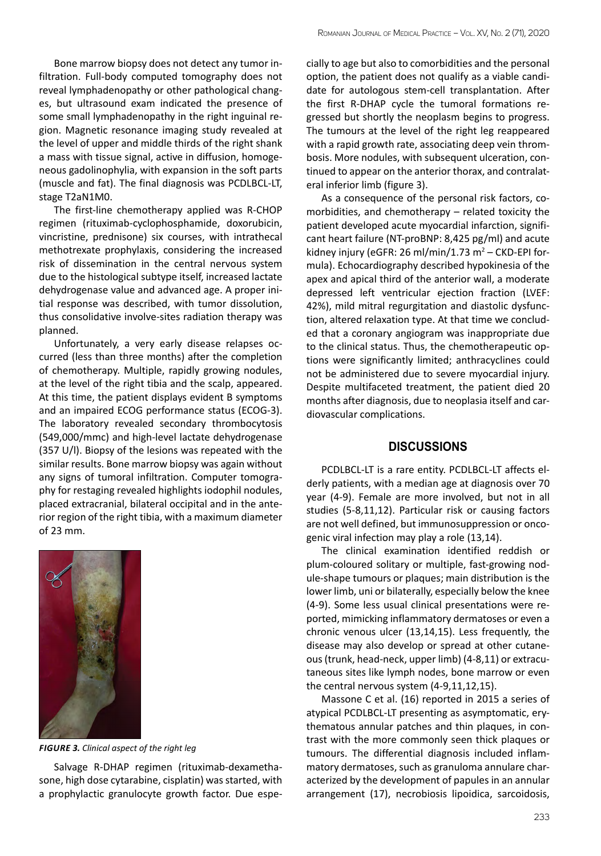Bone marrow biopsy does not detect any tumor infiltration. Full-body computed tomography does not reveal lymphadenopathy or other pathological changes, but ultrasound exam indicated the presence of some small lymphadenopathy in the right inguinal region. Magnetic resonance imaging study revealed at the level of upper and middle thirds of the right shank a mass with tissue signal, active in diffusion, homogeneous gadolinophylia, with expansion in the soft parts (muscle and fat). The final diagnosis was PCDLBCL-LT, stage T2aN1M0.

The first-line chemotherapy applied was R-CHOP regimen (rituximab-cyclophosphamide, doxorubicin, vincristine, prednisone) six courses, with intrathecal methotrexate prophylaxis, considering the increased risk of dissemination in the central nervous system due to the histological subtype itself, increased lactate dehydrogenase value and advanced age. A proper initial response was described, with tumor dissolution, thus consolidative involve-sites radiation therapy was planned.

Unfortunately, a very early disease relapses occurred (less than three months) after the completion of chemotherapy. Multiple, rapidly growing nodules, at the level of the right tibia and the scalp, appeared. At this time, the patient displays evident B symptoms and an impaired ECOG performance status (ECOG-3). The laboratory revealed secondary thrombocytosis (549,000/mmc) and high-level lactate dehydrogenase (357 U/l). Biopsy of the lesions was repeated with the similar results. Bone marrow biopsy was again without any signs of tumoral infiltration. Computer tomography for restaging revealed highlights iodophil nodules, placed extracranial, bilateral occipital and in the anterior region of the right tibia, with a maximum diameter of 23 mm.



*Figure 3. Clinical aspect of the right leg*

Salvage R-DHAP regimen (rituximab-dexamethasone, high dose cytarabine, cisplatin) was started, with a prophylactic granulocyte growth factor. Due especially to age but also to comorbidities and the personal option, the patient does not qualify as a viable candidate for autologous stem-cell transplantation. After the first R-DHAP cycle the tumoral formations regressed but shortly the neoplasm begins to progress. The tumours at the level of the right leg reappeared with a rapid growth rate, associating deep vein thrombosis. More nodules, with subsequent ulceration, continued to appear on the anterior thorax, and contralateral inferior limb (figure 3).

As a consequence of the personal risk factors, comorbidities, and chemotherapy – related toxicity the patient developed acute myocardial infarction, significant heart failure (NT-proBNP: 8,425 pg/ml) and acute kidney injury (eGFR: 26 ml/min/1.73 m<sup>2</sup> - CKD-EPI formula). Echocardiography described hypokinesia of the apex and apical third of the anterior wall, a moderate depressed left ventricular ejection fraction (LVEF: 42%), mild mitral regurgitation and diastolic dysfunction, altered relaxation type. At that time we concluded that a coronary angiogram was inappropriate due to the clinical status. Thus, the chemotherapeutic options were significantly limited; anthracyclines could not be administered due to severe myocardial injury. Despite multifaceted treatment, the patient died 20 months after diagnosis, due to neoplasia itself and cardiovascular complications.

#### **DISCUSSIONS**

PCDLBCL-LT is a rare entity. PCDLBCL-LT affects elderly patients, with a median age at diagnosis over 70 year (4-9). Female are more involved, but not in all studies (5-8,11,12). Particular risk or causing factors are not well defined, but immunosuppression or oncogenic viral infection may play a role (13,14).

The clinical examination identified reddish or plum-coloured solitary or multiple, fast-growing nodule-shape tumours or plaques; main distribution is the lower limb, uni or bilaterally, especially below the knee (4-9). Some less usual clinical presentations were reported, mimicking inflammatory dermatoses or even a chronic venous ulcer (13,14,15). Less frequently, the disease may also develop or spread at other cutaneous (trunk, head-neck, upper limb) (4-8,11) or extracutaneous sites like lymph nodes, bone marrow or even the central nervous system (4-9,11,12,15).

Massone C et al. (16) reported in 2015 a series of atypical PCDLBCL-LT presenting as asymptomatic, erythematous annular patches and thin plaques, in contrast with the more commonly seen thick plaques or tumours. The differential diagnosis included inflammatory dermatoses, such as granuloma annulare characterized by the development of papules in an annular arrangement (17), necrobiosis lipoidica, sarcoidosis,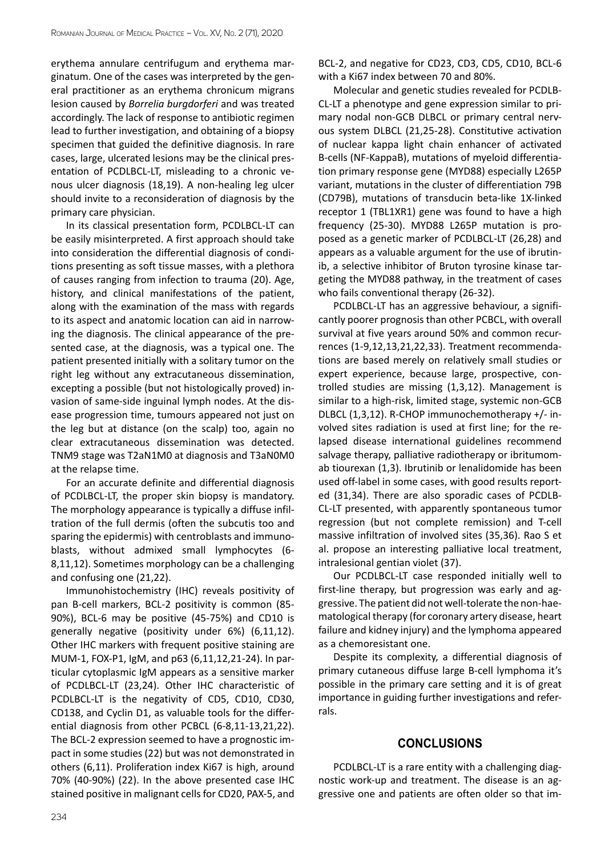erythema annulare centrifugum and erythema marginatum. One of the cases was interpreted by the general practitioner as an erythema chronicum migrans lesion caused by *Borrelia burgdorferi* and was treated accordingly. The lack of response to antibiotic regimen lead to further investigation, and obtaining of a biopsy specimen that guided the definitive diagnosis. In rare cases, large, ulcerated lesions may be the clinical presentation of PCDLBCL-LT, misleading to a chronic venous ulcer diagnosis (18,19). A non-healing leg ulcer should invite to a reconsideration of diagnosis by the primary care physician.

In its classical presentation form, PCDLBCL-LT can be easily misinterpreted. A first approach should take into consideration the differential diagnosis of conditions presenting as soft tissue masses, with a plethora of causes ranging from infection to trauma (20). Age, history, and clinical manifestations of the patient, along with the examination of the mass with regards to its aspect and anatomic location can aid in narrowing the diagnosis. The clinical appearance of the presented case, at the diagnosis, was a typical one. The patient presented initially with a solitary tumor on the right leg without any extracutaneous dissemination, excepting a possible (but not histologically proved) invasion of same-side inguinal lymph nodes. At the disease progression time, tumours appeared not just on the leg but at distance (on the scalp) too, again no clear extracutaneous dissemination was detected. TNM9 stage was T2aN1M0 at diagnosis and T3aN0M0 at the relapse time.

For an accurate definite and differential diagnosis of PCDLBCL-LT, the proper skin biopsy is mandatory. The morphology appearance is typically a diffuse infiltration of the full dermis (often the subcutis too and sparing the epidermis) with centroblasts and immunoblasts, without admixed small lymphocytes (6- 8,11,12). Sometimes morphology can be a challenging and confusing one (21,22).

Immunohistochemistry (IHC) reveals positivity of pan B-cell markers, BCL-2 positivity is common (85- 90%), BCL-6 may be positive (45-75%) and CD10 is generally negative (positivity under 6%) (6,11,12). Other IHC markers with frequent positive staining are MUM-1, FOX-P1, IgM, and p63 (6,11,12,21-24). In particular cytoplasmic IgM appears as a sensitive marker of PCDLBCL-LT (23,24). Other IHC characteristic of PCDLBCL-LT is the negativity of CD5, CD10, CD30, CD138, and Cyclin D1, as valuable tools for the differential diagnosis from other PCBCL (6-8,11-13,21,22). The BCL-2 expression seemed to have a prognostic impact in some studies (22) but was not demonstrated in others (6,11). Proliferation index Ki67 is high, around 70% (40-90%) (22). In the above presented case IHC stained positive in malignant cells for CD20, PAX-5, and BCL-2, and negative for CD23, CD3, CD5, CD10, BCL-6 with a Ki67 index between 70 and 80%.

Molecular and genetic studies revealed for PCDLB-CL-LT a phenotype and gene expression similar to primary nodal non-GCB DLBCL or primary central nervous system DLBCL (21,25-28). Constitutive activation of nuclear kappa light chain enhancer of activated B-cells (NF-KappaB), mutations of myeloid differentiation primary response gene (MYD88) especially L265P variant, mutations in the cluster of differentiation 79B (CD79B), mutations of transducin beta-like 1X-linked receptor 1 (TBL1XR1) gene was found to have a high frequency (25-30). MYD88 L265P mutation is proposed as a genetic marker of PCDLBCL-LT (26,28) and appears as a valuable argument for the use of ibrutinib, a selective inhibitor of Bruton tyrosine kinase targeting the MYD88 pathway, in the treatment of cases who fails conventional therapy (26-32).

PCDLBCL-LT has an aggressive behaviour, a significantly poorer prognosis than other PCBCL, with overall survival at five years around 50% and common recurrences (1-9,12,13,21,22,33). Treatment recommendations are based merely on relatively small studies or expert experience, because large, prospective, controlled studies are missing (1,3,12). Management is similar to a high-risk, limited stage, systemic non-GCB DLBCL (1,3,12). R-CHOP immunochemotherapy +/- involved sites radiation is used at first line; for the relapsed disease international guidelines recommend salvage therapy, palliative radiotherapy or ibritumomab tiourexan (1,3). Ibrutinib or lenalidomide has been used off-label in some cases, with good results reported (31,34). There are also sporadic cases of PCDLB-CL-LT presented, with apparently spontaneous tumor regression (but not complete remission) and T-cell massive infiltration of involved sites (35,36). Rao S et al. propose an interesting palliative local treatment, intralesional gentian violet (37).

Our PCDLBCL-LT case responded initially well to first-line therapy, but progression was early and aggressive. The patient did not well-tolerate the non-haematological therapy (for coronary artery disease, heart failure and kidney injury) and the lymphoma appeared as a chemoresistant one.

Despite its complexity, a differential diagnosis of primary cutaneous diffuse large B-cell lymphoma it's possible in the primary care setting and it is of great importance in guiding further investigations and referrals.

### **CONCLUSIONS**

PCDLBCL-LT is a rare entity with a challenging diagnostic work-up and treatment. The disease is an aggressive one and patients are often older so that im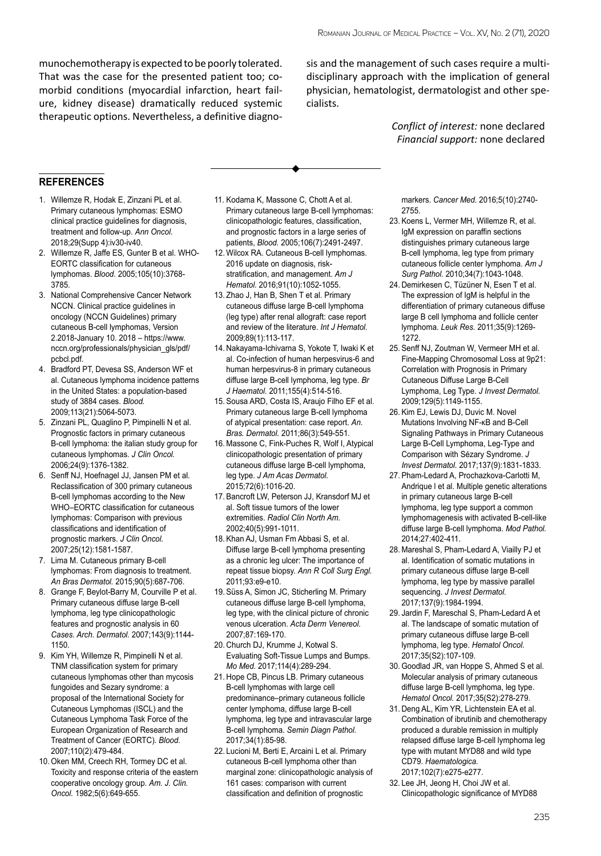munochemotherapy is expected to be poorly tolerated. That was the case for the presented patient too; comorbid conditions (myocardial infarction, heart failure, kidney disease) dramatically reduced systemic therapeutic options. Nevertheless, a definitive diagnosis and the management of such cases require a multidisciplinary approach with the implication of general physician, hematologist, dermatologist and other specialists.

> *Conflict of interest:* none declared *Financial support:* none declared

#### **references**

- 1. Willemze R, Hodak E, Zinzani PL et al. Primary cutaneous lymphomas: ESMO clinical practice guidelines for diagnosis, treatment and follow-up. *Ann Oncol.* 2018;29(Supp 4):iv30-iv40.
- 2. Willemze R, Jaffe ES, Gunter B et al. WHO-EORTC classification for cutaneous lymphomas. *Blood.* 2005;105(10):3768- 3785.
- 3. National Comprehensive Cancer Network NCCN. Clinical practice guidelines in oncology (NCCN Guidelines) primary cutaneous B-cell lymphomas, Version 2.2018-January 10. 2018 – https://www. nccn.org/professionals/physician\_gls/pdf/ pcbcl.pdf.
- 4. Bradford PT, Devesa SS, Anderson WF et al. Cutaneous lymphoma incidence patterns in the United States: a population-based study of 3884 cases. *Blood.* 2009;113(21):5064-5073.
- 5. Zinzani PL, Quaglino P, Pimpinelli N et al. Prognostic factors in primary cutaneous B-cell lymphoma: the italian study group for cutaneous lymphomas. *J Clin Oncol.* 2006;24(9):1376-1382.
- 6. Senff NJ, Hoefnagel JJ, Jansen PM et al. Reclassification of 300 primary cutaneous B-cell lymphomas according to the New WHO–EORTC classification for cutaneous lymphomas: Comparison with previous classifications and identification of prognostic markers. *J Clin Oncol.* 2007;25(12):1581-1587.
- 7. Lima M. Cutaneous primary B-cell lymphomas: From diagnosis to treatment. *An Bras Dermatol.* 2015;90(5):687-706.
- 8. Grange F, Beylot-Barry M, Courville P et al. Primary cutaneous diffuse large B-cell lymphoma, leg type clinicopathologic features and prognostic analysis in 60 *Cases. Arch. Dermatol.* 2007;143(9):1144- 1150.
- 9. Kim YH, Willemze R, Pimpinelli N et al. TNM classification system for primary cutaneous lymphomas other than mycosis fungoides and Sezary syndrome: a proposal of the International Society for Cutaneous Lymphomas (ISCL) and the Cutaneous Lymphoma Task Force of the European Organization of Research and Treatment of Cancer (EORTC). *Blood.* 2007;110(2):479-484.
- 10. Oken MM, Creech RH, Tormey DC et al. Toxicity and response criteria of the eastern cooperative oncology group. *Am. J. Clin. Oncol.* 1982;5(6):649-655.
- 11. Kodama K, Massone C, Chott A et al. Primary cutaneous large B-cell lymphomas: clinicopathologic features, classification, and prognostic factors in a large series of patients, *Blood.* 2005;106(7):2491-2497.
- 12. Wilcox RA. Cutaneous B-cell lymphomas. 2016 update on diagnosis, riskstratification, and management. *Am J Hematol.* 2016;91(10):1052-1055.
- 13. Zhao J, Han B, Shen T et al. Primary cutaneous diffuse large B-cell lymphoma (leg type) after renal allograft: case report and review of the literature. *Int J Hematol.* 2009;89(1):113-117.
- 14. Nakayama-Ichivarna S, Yokote T, Iwaki K et al. Co-infection of human herpesvirus-6 and human herpesvirus-8 in primary cutaneous diffuse large B-cell lymphoma, leg type. *Br J Haematol.* 2011;155(4):514-516.
- 15. Sousa ARD, Costa IS, Araujo Filho EF et al. Primary cutaneous large B-cell lymphoma of atypical presentation: case report. *An. Bras. Dermatol.* 2011;86(3):549-551.
- 16. Massone C, Fink-Puches R, Wolf I, Atypical clinicopathologic presentation of primary cutaneous diffuse large B-cell lymphoma, leg type. *J Am Acas Dermatol.* 2015;72(6):1016-20.
- 17. Bancroft LW, Peterson JJ, Kransdorf MJ et al. Soft tissue tumors of the lower extremities. *Radiol Clin North Am.* 2002;40(5):991-1011.
- 18. Khan AJ, Usman Fm Abbasi S, et al. Diffuse large B-cell lymphoma presenting as a chronic leg ulcer: The importance of repeat tissue biopsy. *Ann R Coll Surg Engl.* 2011;93:e9-e10.
- 19. Süss A, Simon JC, Sticherling M. Primary cutaneous diffuse large B-cell lymphoma, leg type, with the clinical picture of chronic venous ulceration. *Acta Derm Venereol.* 2007;87:169-170.
- 20. Church DJ, Krumme J, Kotwal S. Evaluating Soft-Tissue Lumps and Bumps. *Mo Med.* 2017;114(4):289-294.
- 21. Hope CB, Pincus LB. Primary cutaneous B-cell lymphomas with large cell predominance–primary cutaneous follicle center lymphoma, diffuse large B-cell lymphoma, leg type and intravascular large B-cell lymphoma. *Semin Diagn Pathol.* 2017;34(1):85-98.
- 22. Lucioni M, Berti E, Arcaini L et al. Primary cutaneous B-cell lymphoma other than marginal zone: clinicopathologic analysis of 161 cases: comparison with current classification and definition of prognostic

markers. *Cancer Med.* 2016;5(10):2740- 2755.

- 23. Koens L, Vermer MH, Willemze R, et al. IgM expression on paraffin sections distinguishes primary cutaneous large B-cell lymphoma, leg type from primary cutaneous follicle center lymphoma. *Am J Surg Pathol.* 2010;34(7):1043-1048.
- 24. Demirkesen C, Tüzüner N, Esen T et al. The expression of IgM is helpful in the differentiation of primary cutaneous diffuse large B cell lymphoma and follicle center lymphoma. *Leuk Res.* 2011;35(9):1269- 1272.
- 25. Senff NJ, Zoutman W, Vermeer MH et al. Fine-Mapping Chromosomal Loss at 9p21: Correlation with Prognosis in Primary Cutaneous Diffuse Large B-Cell Lymphoma, Leg Type. *J Invest Dermatol.* 2009;129(5):1149-1155.
- 26. Kim EJ, Lewis DJ, Duvic M. Novel Mutations Involving NF-κB and B-Cell Signaling Pathways in Primary Cutaneous Large B-Cell Lymphoma, Leg-Type and Comparison with Sézary Syndrome. *J Invest Dermatol.* 2017;137(9):1831-1833.
- 27. Pham-Ledard A, Prochazkova-Carlotti M, Andrique l et al. Multiple genetic alterations in primary cutaneous large B-cell lymphoma, leg type support a common lymphomagenesis with activated B-cell-like diffuse large B-cell lymphoma. *Mod Pathol.* 2014;27:402-411.
- 28. Mareshal S, Pham-Ledard A, Viailly PJ et al. Identification of somatic mutations in primary cutaneous diffuse large B-cell lymphoma, leg type by massive parallel sequencing. *J Invest Dermatol.* 2017;137(9):1984-1994.
- 29. Jardin F, Mareschal S, Pham-Ledard A et al. The landscape of somatic mutation of primary cutaneous diffuse large B-cell lymphoma, leg type. *Hematol Oncol.* 2017;35(S2):107-109.
- 30. Goodlad JR, van Hoppe S, Ahmed S et al. Molecular analysis of primary cutaneous diffuse large B-cell lymphoma, leg type. *Hematol Oncol.* 2017;35(S2):278-279.
- 31. Deng AL, Kim YR, Lichtenstein EA et al. Combination of ibrutinib and chemotherapy produced a durable remission in multiply relapsed diffuse large B-cell lymphoma leg type with mutant MYD88 and wild type CD79. *Haematologica.* 2017;102(7):e275-e277.
- 32. Lee JH, Jeong H, Choi JW et al. Clinicopathologic significance of MYD88